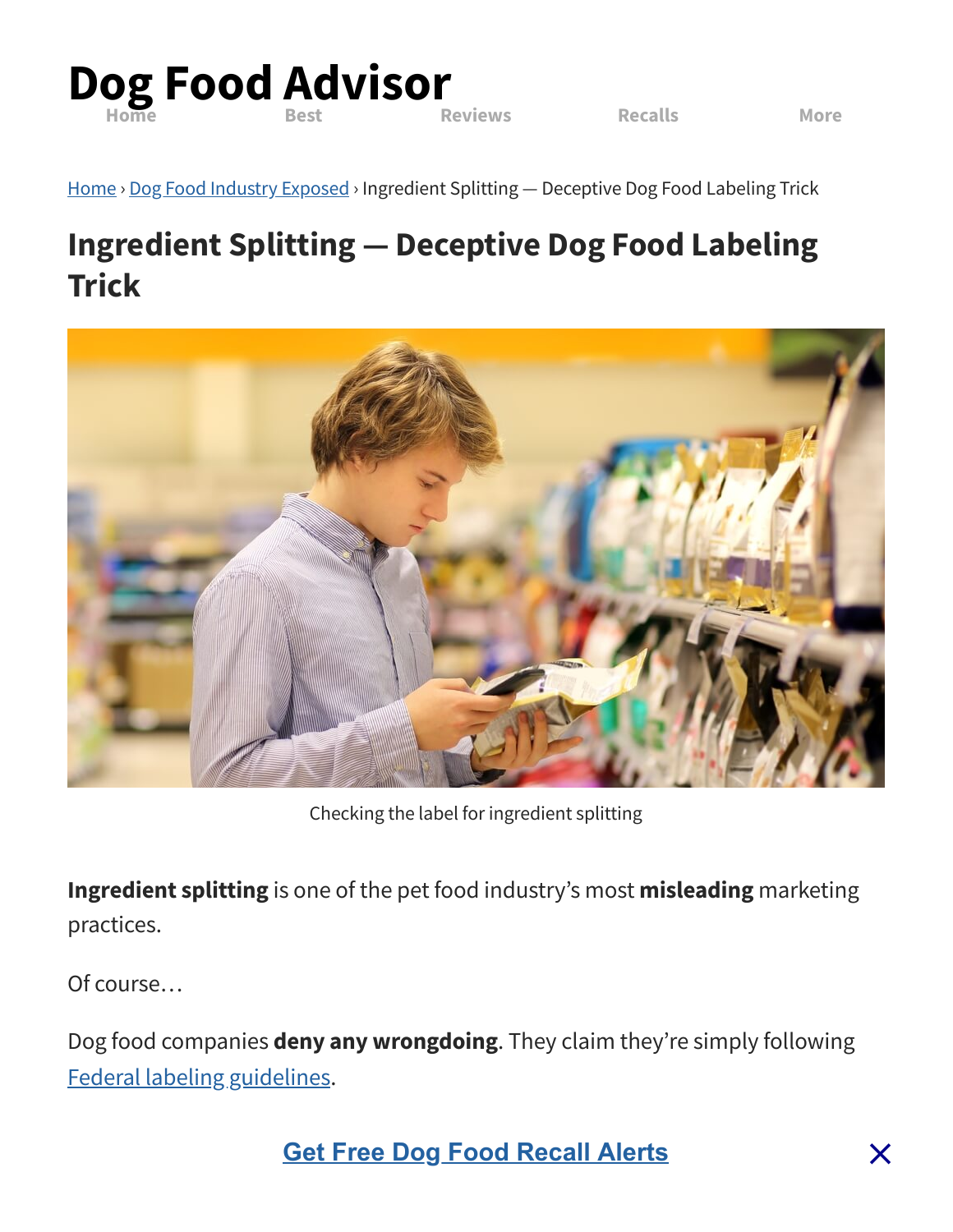

[Home](https://www.dogfoodadvisor.com/) > Dog Food Industry [Exposed](https://www.dogfoodadvisor.com/category/dog-food-industry-exposed/) > Ingredient Splitting — Deceptive Dog Food Labeling Trick

# **Ingredient Splitting — Deceptive Dog Food Labeling Trick**



Checking the label for ingredient splitting

**Ingredient splitting** is one of the pet food industry's most **misleading** marketing practices.

Of course…

Dog food companies **deny any wrongdoing**. They claim they're simply following Federal labeling [guidelines.](https://www.fda.gov/animal-veterinary/animal-health-literacy/pet-food-labels-general#Ingredient)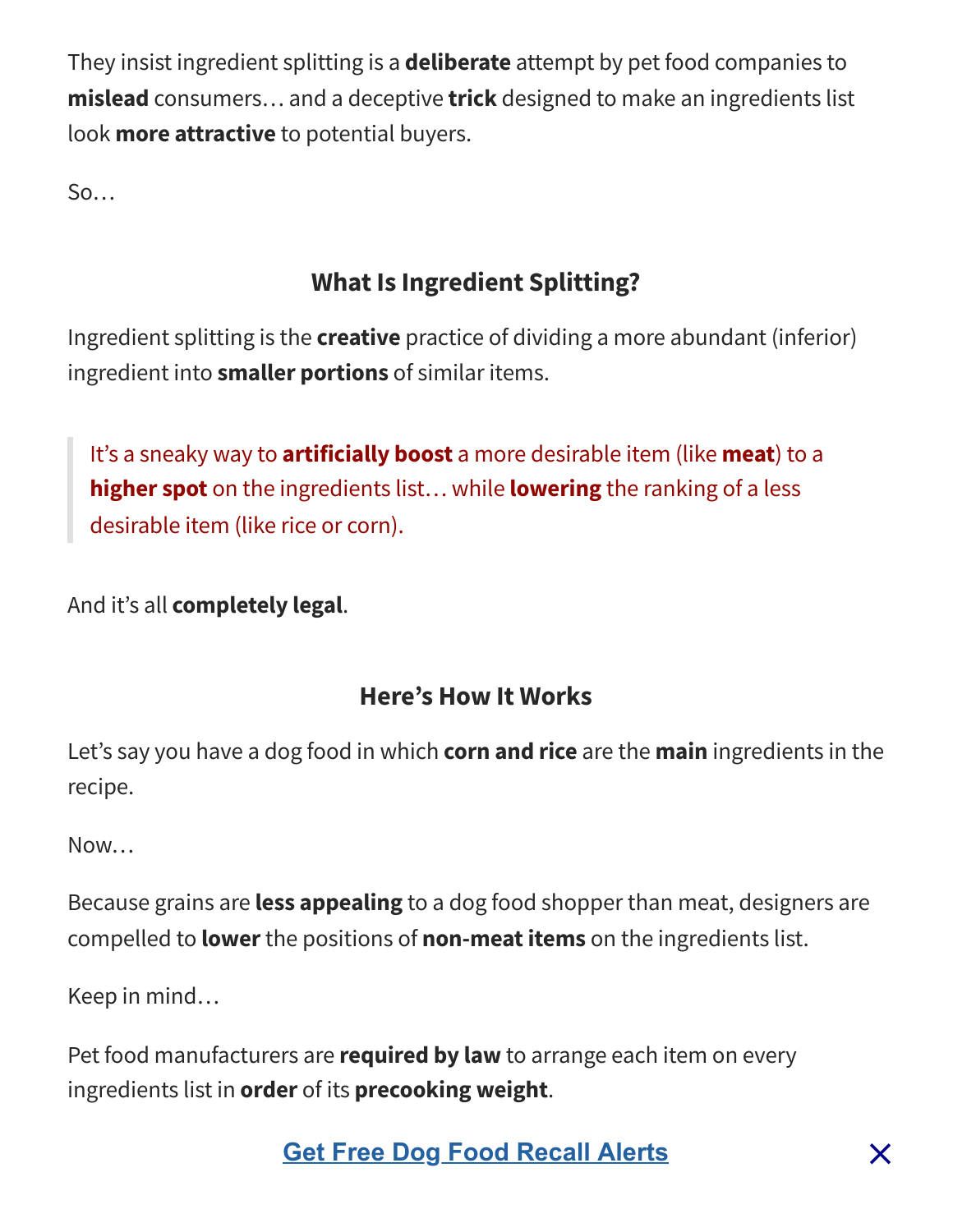They insist ingredient splitting is a **deliberate** attempt by pet food companies to **mislead** consumers… and a deceptive **trick** designed to make an ingredients list look **more attractive** to potential buyers.

 $S_0$ …

# **What Is Ingredient Splitting?**

Ingredient splitting is the **creative** practice of dividing a more abundant (inferior) ingredient into **smaller portions** of similar items.

It's a sneaky way to **artificially boost** a more desirable item (like **meat**) to a **higher spot** on the ingredients list… while **lowering** the ranking of a less desirable item (like rice or corn).

And it's all **completely legal**.

## **Here's How It Works**

Let's say you have a dog food in which **corn and rice** are the **main** ingredients in the recipe.

Now…

Because grains are **less appealing** to a dog food shopper than meat, designers are compelled to **lower**the positions of **non-meat items** on the ingredients list.

Keep in mind…

Pet food manufacturers are **required by law** to arrange each item on every ingredients list in **order** of its **precooking weight**.

**Check Out This example The Check of Check of Check of Check Check Check Check Check Check Check Check Check Check Check Check Check Check Check Check Check Check Check Check Check Check Check Check Check Check Check Check**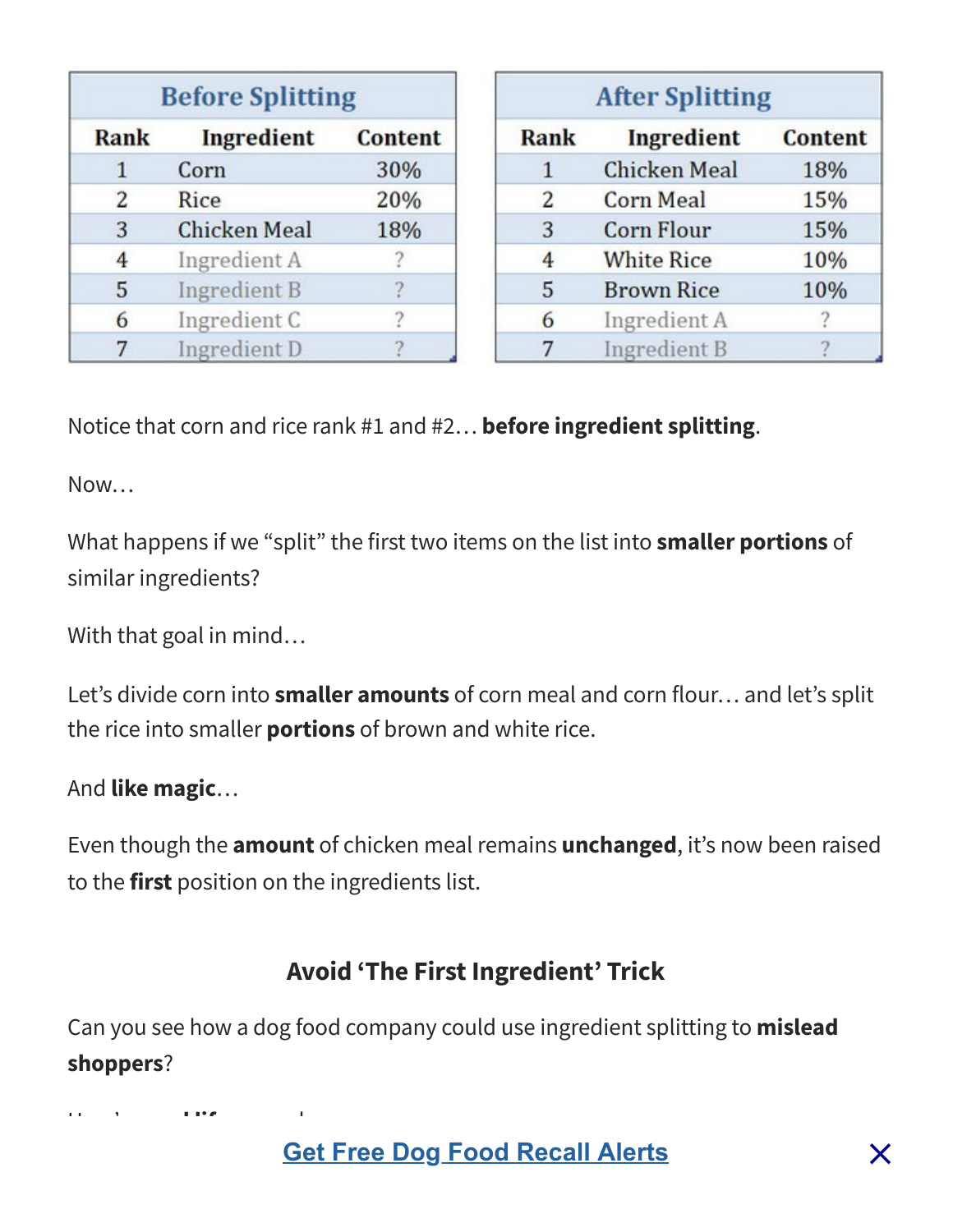| <b>Before Splitting</b> |                     |         |  |
|-------------------------|---------------------|---------|--|
| Rank                    | Ingredient          | Content |  |
| 1                       | Corn                | 30%     |  |
| 2                       | Rice                | 20%     |  |
| 3                       | <b>Chicken Meal</b> | 18%     |  |
| 4                       | Ingredient A        |         |  |
| 5                       | <b>Ingredient B</b> |         |  |
| 6                       | Ingredient C        |         |  |
| 7                       | Ingredient D        |         |  |

| <b>After Splitting</b> |                     |                |  |
|------------------------|---------------------|----------------|--|
| <b>Rank</b>            | Ingredient          | <b>Content</b> |  |
| 1                      | <b>Chicken Meal</b> | 18%            |  |
| 2                      | <b>Corn Meal</b>    | 15%            |  |
| 3                      | <b>Corn Flour</b>   | 15%            |  |
| 4                      | <b>White Rice</b>   | 10%            |  |
| 5                      | <b>Brown Rice</b>   | 10%            |  |
| 6                      | Ingredient A        |                |  |
| 7                      | <b>Ingredient B</b> |                |  |

Notice that corn and rice rank #1 and #2… **before ingredient splitting**.

Now…

What happens if we "split" the first two items on the list into **smaller portions** of similar ingredients?

With that goal in mind…

Let's divide corn into **smaller amounts** of corn meal and corn flour… and let's split the rice into smaller **portions** of brown and white rice.

#### And **like magic**…

Even though the **amount** of chicken meal remains **unchanged**, it's now been raised to the **first** position on the ingredients list.

#### **Avoid 'The First Ingredient' Trick**

Can you see how a dog food company could use ingredient splitting to **mislead shoppers**?

Here's a **real life** example.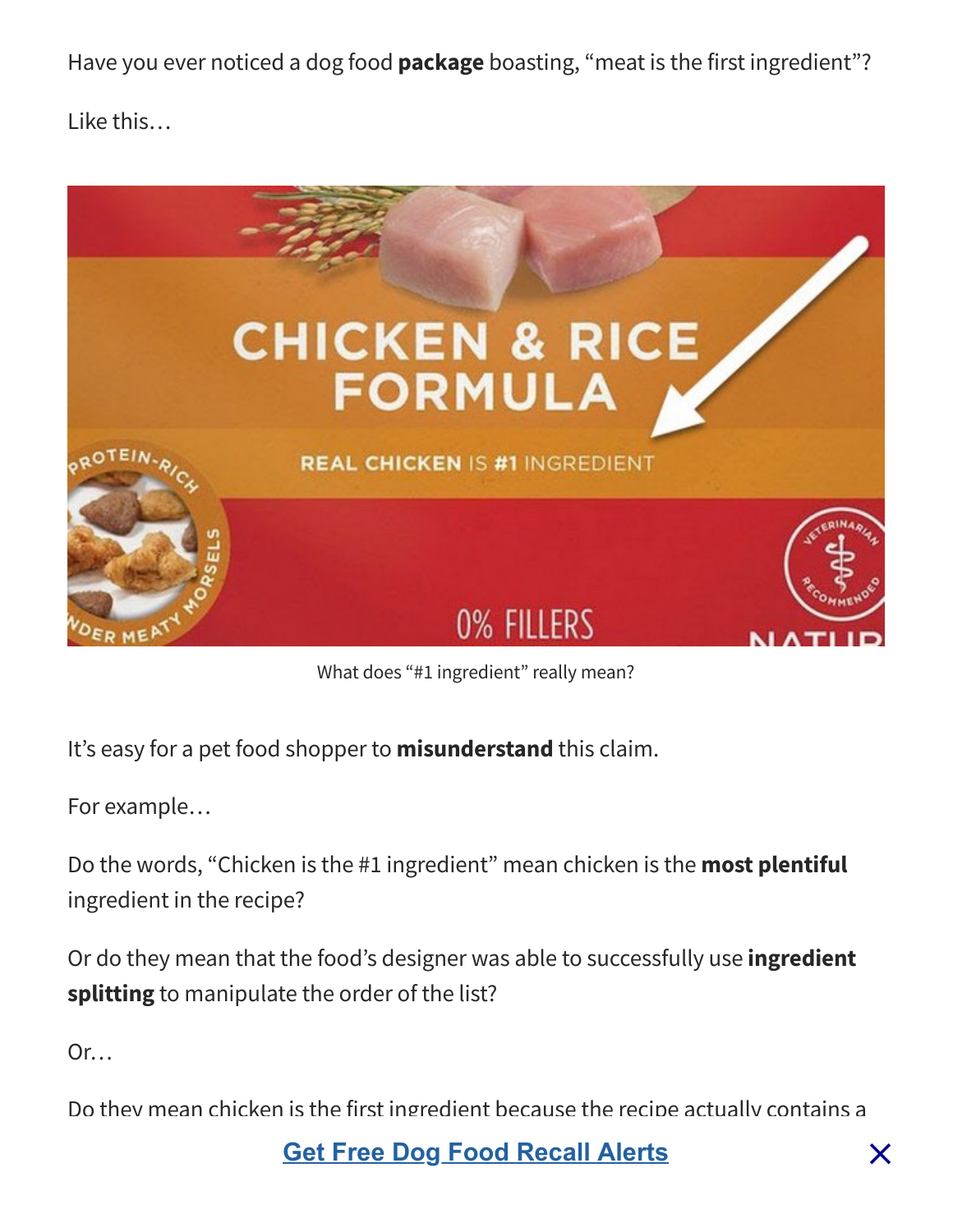Have you ever noticed a dog food **package** boasting, "meat is the first ingredient"?

Like this…



What does "#1 ingredient" really mean?

It's easy for a pet food shopper to **misunderstand** this claim.

For example…

Do the words, "Chicken is the #1 ingredient" mean chicken is the **most plentiful** ingredient in the recipe?

Or do they mean that the food's designer was able to successfully use **ingredient splitting** to manipulate the order of the list?

Or…

Do they mean chicken is the first ingredient because the recipe actually contains a

**[Get Free Dog Food Recall Alerts](https://www.dogfoodadvisor.com/dog-food-recall-alerts/)** in the meal of  $\times$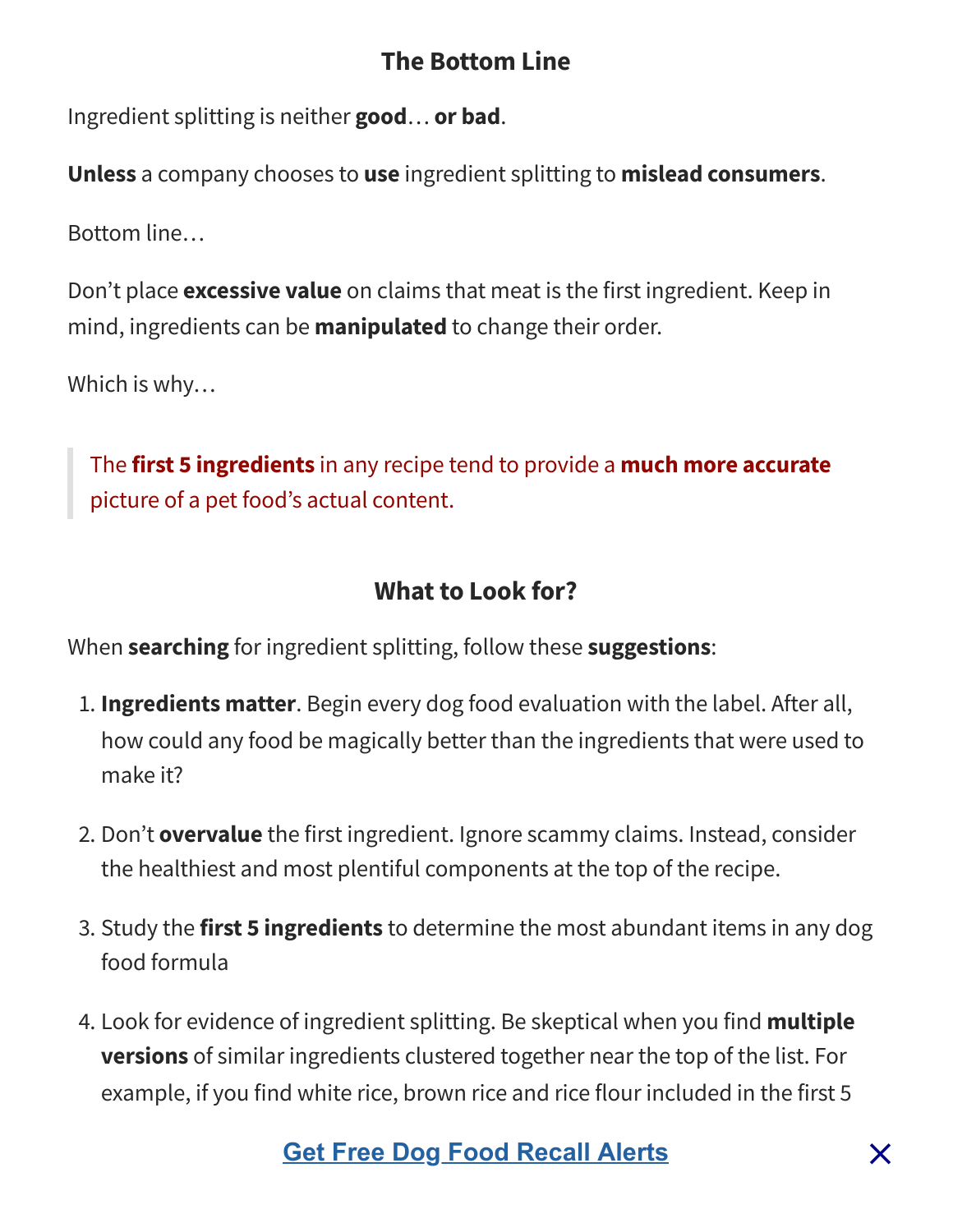#### **The Bottom Line**

Ingredient splitting is neither **good**… **or bad**.

**Unless** a company chooses to **use** ingredient splitting to **mislead consumers**.

Bottom line…

Don't place **excessive value** on claims that meat is the first ingredient. Keep in mind, ingredients can be **manipulated** to change their order.

Which is why…

The **first 5 ingredients** in any recipe tend to provide a **much more accurate** picture of a pet food's actual content.

#### **What to Look for?**

When **searching** for ingredient splitting, follow these **suggestions**:

- 1. **Ingredients matter**. Begin every dog food evaluation with the label. After all, how could any food be magically better than the ingredients that were used to make it?
- 2. Don't **overvalue** the first ingredient. Ignore scammy claims. Instead, consider the healthiest and most plentiful components at the top of the recipe.
- 3. Study the **first 5 ingredients** to determine the most abundant items in any dog food formula
- 4. Look for evidence of ingredient splitting. Be skeptical when you find **multiple versions** of similar ingredients clustered together near the top of the list. For example, if you find white rice, brown rice and rice flour included in the first 5